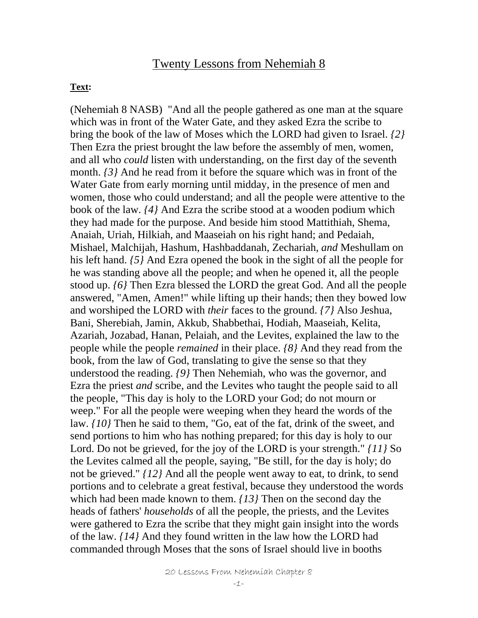#### Twenty Lessons from Nehemiah 8

#### **Text:**

(Nehemiah 8 NASB) "And all the people gathered as one man at the square which was in front of the Water Gate, and they asked Ezra the scribe to bring the book of the law of Moses which the LORD had given to Israel. *{2}*  Then Ezra the priest brought the law before the assembly of men, women, and all who *could* listen with understanding, on the first day of the seventh month. *{3}* And he read from it before the square which was in front of the Water Gate from early morning until midday, in the presence of men and women, those who could understand; and all the people were attentive to the book of the law. *{4}* And Ezra the scribe stood at a wooden podium which they had made for the purpose. And beside him stood Mattithiah, Shema, Anaiah, Uriah, Hilkiah, and Maaseiah on his right hand; and Pedaiah, Mishael, Malchijah, Hashum, Hashbaddanah, Zechariah, *and* Meshullam on his left hand. *{5}* And Ezra opened the book in the sight of all the people for he was standing above all the people; and when he opened it, all the people stood up. *{6}* Then Ezra blessed the LORD the great God. And all the people answered, "Amen, Amen!" while lifting up their hands; then they bowed low and worshiped the LORD with *their* faces to the ground. *{7}* Also Jeshua, Bani, Sherebiah, Jamin, Akkub, Shabbethai, Hodiah, Maaseiah, Kelita, Azariah, Jozabad, Hanan, Pelaiah, and the Levites, explained the law to the people while the people *remained* in their place. *{8}* And they read from the book, from the law of God, translating to give the sense so that they understood the reading. *{9}* Then Nehemiah, who was the governor, and Ezra the priest *and* scribe, and the Levites who taught the people said to all the people, "This day is holy to the LORD your God; do not mourn or weep." For all the people were weeping when they heard the words of the law. *{10}* Then he said to them, "Go, eat of the fat, drink of the sweet, and send portions to him who has nothing prepared; for this day is holy to our Lord. Do not be grieved, for the joy of the LORD is your strength." *{11}* So the Levites calmed all the people, saying, "Be still, for the day is holy; do not be grieved." *{12}* And all the people went away to eat, to drink, to send portions and to celebrate a great festival, because they understood the words which had been made known to them. *{13}* Then on the second day the heads of fathers' *households* of all the people, the priests, and the Levites were gathered to Ezra the scribe that they might gain insight into the words of the law. *{14}* And they found written in the law how the LORD had commanded through Moses that the sons of Israel should live in booths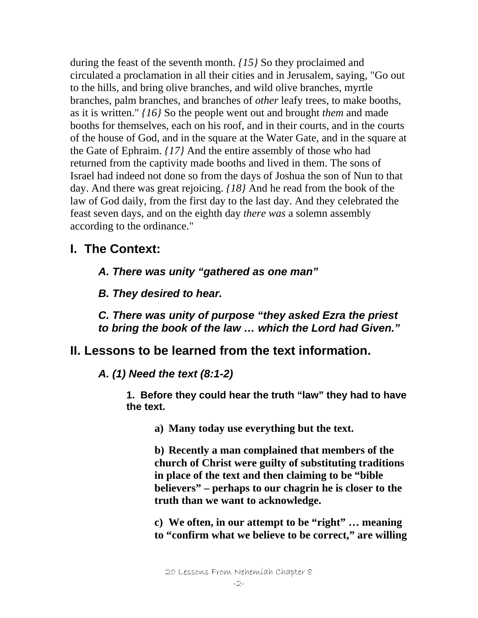during the feast of the seventh month. *{15}* So they proclaimed and circulated a proclamation in all their cities and in Jerusalem, saying, "Go out to the hills, and bring olive branches, and wild olive branches, myrtle branches, palm branches, and branches of *other* leafy trees, to make booths, as it is written." *{16}* So the people went out and brought *them* and made booths for themselves, each on his roof, and in their courts, and in the courts of the house of God, and in the square at the Water Gate, and in the square at the Gate of Ephraim. *{17}* And the entire assembly of those who had returned from the captivity made booths and lived in them. The sons of Israel had indeed not done so from the days of Joshua the son of Nun to that day. And there was great rejoicing. *{18}* And he read from the book of the law of God daily, from the first day to the last day. And they celebrated the feast seven days, and on the eighth day *there was* a solemn assembly according to the ordinance."

## **I. The Context:**

*A. There was unity "gathered as one man"* 

*B. They desired to hear.* 

*C. There was unity of purpose "they asked Ezra the priest to bring the book of the law … which the Lord had Given."* 

### **II. Lessons to be learned from the text information.**

*A. (1) Need the text (8:1-2)* 

**1. Before they could hear the truth "law" they had to have the text.** 

**a) Many today use everything but the text.** 

**b) Recently a man complained that members of the church of Christ were guilty of substituting traditions in place of the text and then claiming to be "bible believers" – perhaps to our chagrin he is closer to the truth than we want to acknowledge.** 

**c) We often, in our attempt to be "right" … meaning to "confirm what we believe to be correct," are willing** 

20 Lessons From Nehemiah Chapter 8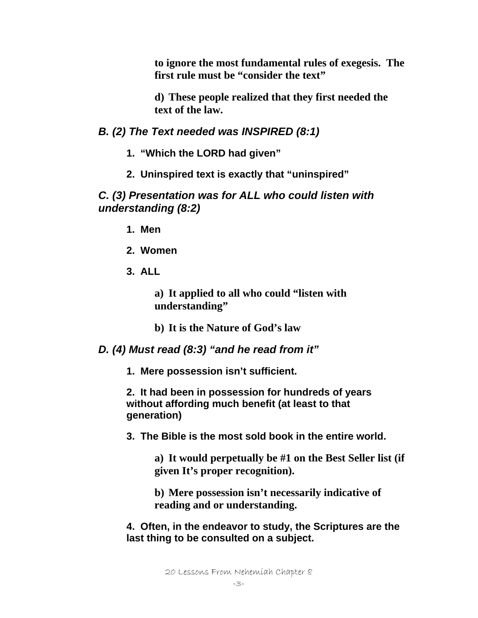**to ignore the most fundamental rules of exegesis. The first rule must be "consider the text"** 

**d) These people realized that they first needed the text of the law.** 

*B. (2) The Text needed was INSPIRED (8:1)* 

- **1. "Which the LORD had given"**
- **2. Uninspired text is exactly that "uninspired"**

*C. (3) Presentation was for ALL who could listen with understanding (8:2)* 

- **1. Men**
- **2. Women**
- **3. ALL**

**a) It applied to all who could "listen with understanding"** 

**b) It is the Nature of God's law** 

*D. (4) Must read (8:3) "and he read from it"* 

**1. Mere possession isn't sufficient.** 

**2. It had been in possession for hundreds of years without affording much benefit (at least to that generation)** 

**3. The Bible is the most sold book in the entire world.** 

**a) It would perpetually be #1 on the Best Seller list (if given It's proper recognition).** 

**b) Mere possession isn't necessarily indicative of reading and or understanding.** 

**4. Often, in the endeavor to study, the Scriptures are the last thing to be consulted on a subject.**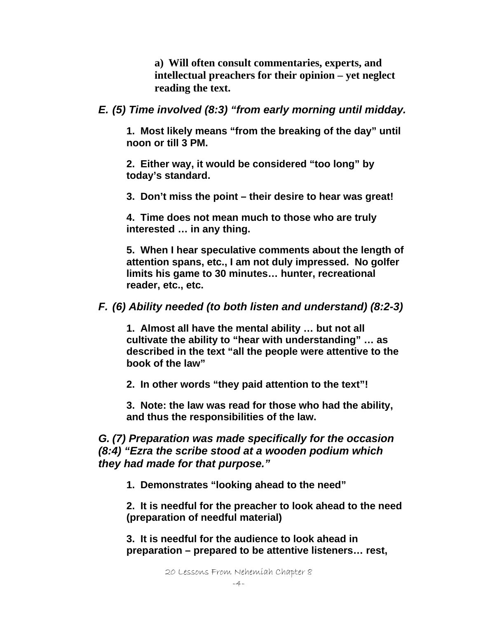**a) Will often consult commentaries, experts, and intellectual preachers for their opinion – yet neglect reading the text.** 

*E. (5) Time involved (8:3) "from early morning until midday.* 

**1. Most likely means "from the breaking of the day" until noon or till 3 PM.** 

**2. Either way, it would be considered "too long" by today's standard.** 

**3. Don't miss the point – their desire to hear was great!** 

**4. Time does not mean much to those who are truly interested … in any thing.** 

**5. When I hear speculative comments about the length of attention spans, etc., I am not duly impressed. No golfer limits his game to 30 minutes… hunter, recreational reader, etc., etc.** 

*F. (6) Ability needed (to both listen and understand) (8:2-3)* 

**1. Almost all have the mental ability … but not all cultivate the ability to "hear with understanding" … as described in the text "all the people were attentive to the book of the law"** 

**2. In other words "they paid attention to the text"!** 

**3. Note: the law was read for those who had the ability, and thus the responsibilities of the law.** 

### *G. (7) Preparation was made specifically for the occasion (8:4) "Ezra the scribe stood at a wooden podium which they had made for that purpose."*

**1. Demonstrates "looking ahead to the need"** 

**2. It is needful for the preacher to look ahead to the need (preparation of needful material)** 

**3. It is needful for the audience to look ahead in preparation – prepared to be attentive listeners… rest,**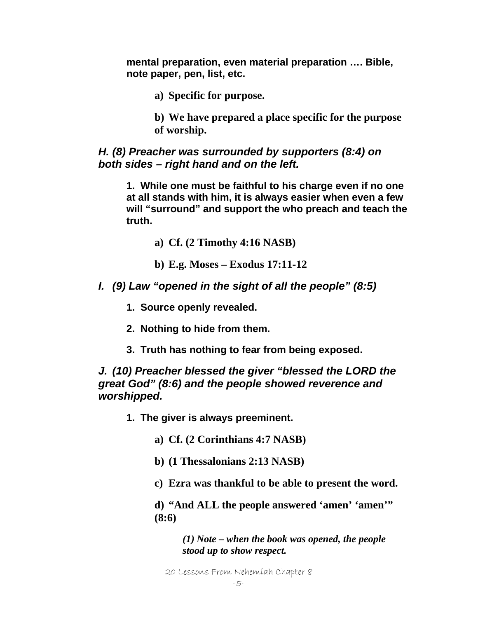**mental preparation, even material preparation …. Bible, note paper, pen, list, etc.** 

**a) Specific for purpose.** 

**b) We have prepared a place specific for the purpose of worship.** 

#### *H. (8) Preacher was surrounded by supporters (8:4) on both sides – right hand and on the left.*

**1. While one must be faithful to his charge even if no one at all stands with him, it is always easier when even a few will "surround" and support the who preach and teach the truth.** 

**a) Cf. (2 Timothy 4:16 NASB)** 

- **b) E.g. Moses Exodus 17:11-12**
- *I. (9) Law "opened in the sight of all the people" (8:5)* 
	- **1. Source openly revealed.**
	- **2. Nothing to hide from them.**
	- **3. Truth has nothing to fear from being exposed.**

*J. (10) Preacher blessed the giver "blessed the LORD the great God" (8:6) and the people showed reverence and worshipped.* 

- **1. The giver is always preeminent.** 
	- **a) Cf. (2 Corinthians 4:7 NASB)**
	- **b) (1 Thessalonians 2:13 NASB)**
	- **c) Ezra was thankful to be able to present the word.**

**d) "And ALL the people answered 'amen' 'amen'" (8:6)** 

> *(1) Note – when the book was opened, the people stood up to show respect.*

20 Lessons From Nehemiah Chapter 8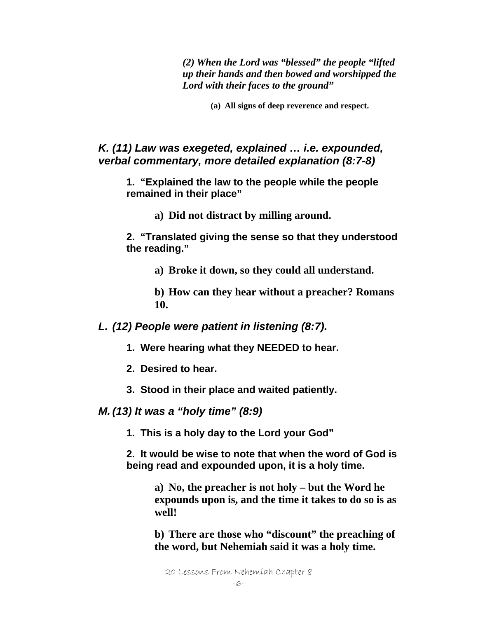*(2) When the Lord was "blessed" the people "lifted up their hands and then bowed and worshipped the Lord with their faces to the ground"* 

**(a) All signs of deep reverence and respect.** 

#### *K. (11) Law was exegeted, explained … i.e. expounded, verbal commentary, more detailed explanation (8:7-8)*

**1. "Explained the law to the people while the people remained in their place"** 

**a) Did not distract by milling around.** 

**2. "Translated giving the sense so that they understood the reading."** 

**a) Broke it down, so they could all understand.** 

**b) How can they hear without a preacher? Romans 10.** 

*L. (12) People were patient in listening (8:7).* 

- **1. Were hearing what they NEEDED to hear.**
- **2. Desired to hear.**
- **3. Stood in their place and waited patiently.**

*M. (13) It was a "holy time" (8:9)* 

**1. This is a holy day to the Lord your God"** 

**2. It would be wise to note that when the word of God is being read and expounded upon, it is a holy time.** 

> **a) No, the preacher is not holy – but the Word he expounds upon is, and the time it takes to do so is as well!**

> **b) There are those who "discount" the preaching of the word, but Nehemiah said it was a holy time.**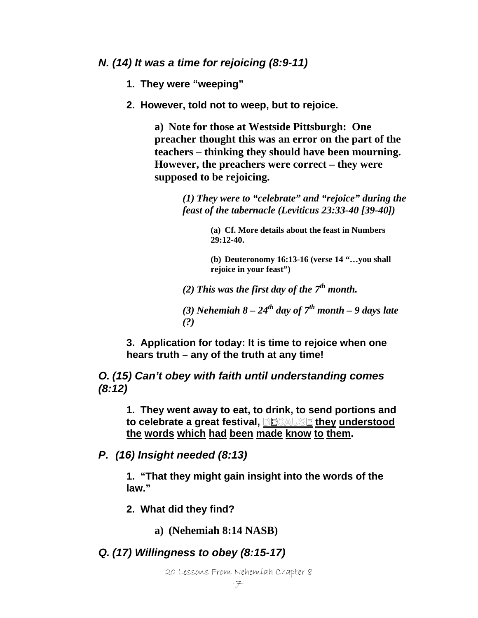*N. (14) It was a time for rejoicing (8:9-11)* 

**1. They were "weeping"** 

**2. However, told not to weep, but to rejoice.** 

**a) Note for those at Westside Pittsburgh: One preacher thought this was an error on the part of the teachers – thinking they should have been mourning. However, the preachers were correct – they were supposed to be rejoicing.** 

> *(1) They were to "celebrate" and "rejoice" during the feast of the tabernacle (Leviticus 23:33-40 [39-40])*

> > **(a) Cf. More details about the feast in Numbers 29:12-40.**

**(b) Deuteronomy 16:13-16 (verse 14 "…you shall rejoice in your feast")** 

*(2) This was the first day of the 7th month.* 

(3) *Nehemiah*  $8 - 24<sup>th</sup>$  *day of*  $7<sup>th</sup>$  *month* – 9 *days late (?)* 

**3. Application for today: It is time to rejoice when one hears truth – any of the truth at any time!** 

*O. (15) Can't obey with faith until understanding comes (8:12)* 

**1. They went away to eat, to drink, to send portions and**  to celebrate a great festival, BECAUSE they understood **the words which had been made know to them.** 

*P. (16) Insight needed (8:13)* 

**1. "That they might gain insight into the words of the law."** 

**2. What did they find?** 

**a) (Nehemiah 8:14 NASB)** 

*Q. (17) Willingness to obey (8:15-17)*